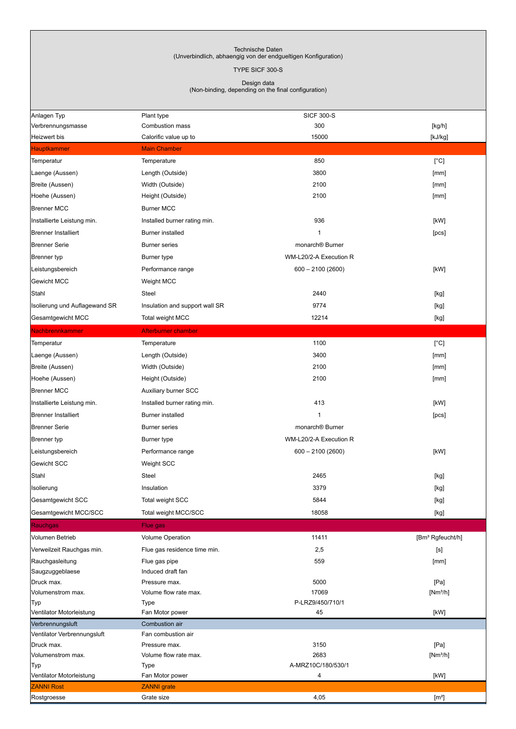## Technische Daten (Unverbindlich, abhaengig von der endgueltigen Konfiguration)

TYPE SICF 300-S

Design data (Non-binding, depending on the final configuration)

| Anlagen Typ                      | Plant type                           | <b>SICF 300-S</b>         |                                                                                                                                                                                                                                                                                                                                                                                                                                                                                                                                                                                                                                                                                              |
|----------------------------------|--------------------------------------|---------------------------|----------------------------------------------------------------------------------------------------------------------------------------------------------------------------------------------------------------------------------------------------------------------------------------------------------------------------------------------------------------------------------------------------------------------------------------------------------------------------------------------------------------------------------------------------------------------------------------------------------------------------------------------------------------------------------------------|
| Verbrennungsmasse                | Combustion mass                      | 300                       | [kg/h]                                                                                                                                                                                                                                                                                                                                                                                                                                                                                                                                                                                                                                                                                       |
| Heizwert bis                     | Calorific value up to                | 15000                     | [kJ/kg]                                                                                                                                                                                                                                                                                                                                                                                                                                                                                                                                                                                                                                                                                      |
| <b>Hauptkammer</b>               | <b>Main Chamber</b>                  |                           |                                                                                                                                                                                                                                                                                                                                                                                                                                                                                                                                                                                                                                                                                              |
| Temperatur                       | Temperature                          | 850                       | [°C]                                                                                                                                                                                                                                                                                                                                                                                                                                                                                                                                                                                                                                                                                         |
| Laenge (Aussen)                  | Length (Outside)                     | 3800                      | [mm]                                                                                                                                                                                                                                                                                                                                                                                                                                                                                                                                                                                                                                                                                         |
| Breite (Aussen)                  | Width (Outside)                      | 2100                      | [mm]                                                                                                                                                                                                                                                                                                                                                                                                                                                                                                                                                                                                                                                                                         |
| Hoehe (Aussen)                   | Height (Outside)                     | 2100                      | [mm]                                                                                                                                                                                                                                                                                                                                                                                                                                                                                                                                                                                                                                                                                         |
| <b>Brenner MCC</b>               | <b>Burner MCC</b>                    |                           |                                                                                                                                                                                                                                                                                                                                                                                                                                                                                                                                                                                                                                                                                              |
| Installierte Leistung min.       | Installed burner rating min.         | 936                       | [kW]                                                                                                                                                                                                                                                                                                                                                                                                                                                                                                                                                                                                                                                                                         |
| <b>Brenner Installiert</b>       | <b>Burner installed</b>              | $\mathbf{1}$              | [PCs]                                                                                                                                                                                                                                                                                                                                                                                                                                                                                                                                                                                                                                                                                        |
| <b>Brenner Serie</b>             | <b>Burner series</b>                 | monarch® Burner           |                                                                                                                                                                                                                                                                                                                                                                                                                                                                                                                                                                                                                                                                                              |
| Brenner typ                      | Burner type                          | WM-L20/2-A Execution R    |                                                                                                                                                                                                                                                                                                                                                                                                                                                                                                                                                                                                                                                                                              |
| Leistungsbereich                 | Performance range                    | $600 - 2100(2600)$        | [kW]                                                                                                                                                                                                                                                                                                                                                                                                                                                                                                                                                                                                                                                                                         |
| Gewicht MCC                      | Weight MCC                           |                           |                                                                                                                                                                                                                                                                                                                                                                                                                                                                                                                                                                                                                                                                                              |
| Stahl                            | Steel                                | 2440                      | [kg]                                                                                                                                                                                                                                                                                                                                                                                                                                                                                                                                                                                                                                                                                         |
| Isolierung und Auflagewand SR    | Insulation and support wall SR       | 9774                      | [kg]                                                                                                                                                                                                                                                                                                                                                                                                                                                                                                                                                                                                                                                                                         |
| Gesamtgewicht MCC                | Total weight MCC                     | 12214                     | [kg]                                                                                                                                                                                                                                                                                                                                                                                                                                                                                                                                                                                                                                                                                         |
| Nachbrennkammer                  | Afterburner chamber                  |                           |                                                                                                                                                                                                                                                                                                                                                                                                                                                                                                                                                                                                                                                                                              |
| Temperatur                       | Temperature                          | 1100                      | $[^{\circ}C]$                                                                                                                                                                                                                                                                                                                                                                                                                                                                                                                                                                                                                                                                                |
| Laenge (Aussen)                  | Length (Outside)                     | 3400                      | [mm]                                                                                                                                                                                                                                                                                                                                                                                                                                                                                                                                                                                                                                                                                         |
| Breite (Aussen)                  | Width (Outside)                      | 2100                      | [mm]                                                                                                                                                                                                                                                                                                                                                                                                                                                                                                                                                                                                                                                                                         |
| Hoehe (Aussen)                   | Height (Outside)                     | 2100                      | [mm]                                                                                                                                                                                                                                                                                                                                                                                                                                                                                                                                                                                                                                                                                         |
| <b>Brenner MCC</b>               | Auxiliary burner SCC                 |                           |                                                                                                                                                                                                                                                                                                                                                                                                                                                                                                                                                                                                                                                                                              |
| Installierte Leistung min.       | Installed burner rating min.         | 413                       | [kW]                                                                                                                                                                                                                                                                                                                                                                                                                                                                                                                                                                                                                                                                                         |
| <b>Brenner Installiert</b>       | <b>Burner installed</b>              | $\mathbf{1}$              | [PCs]                                                                                                                                                                                                                                                                                                                                                                                                                                                                                                                                                                                                                                                                                        |
| <b>Brenner Serie</b>             | <b>Burner series</b>                 | monarch® Burner           |                                                                                                                                                                                                                                                                                                                                                                                                                                                                                                                                                                                                                                                                                              |
|                                  |                                      |                           |                                                                                                                                                                                                                                                                                                                                                                                                                                                                                                                                                                                                                                                                                              |
| Brenner typ                      | Burner type                          | WM-L20/2-A Execution R    |                                                                                                                                                                                                                                                                                                                                                                                                                                                                                                                                                                                                                                                                                              |
| Leistungsbereich                 | Performance range                    | $600 - 2100(2600)$        | [kW]                                                                                                                                                                                                                                                                                                                                                                                                                                                                                                                                                                                                                                                                                         |
| Gewicht SCC                      | Weight SCC                           |                           |                                                                                                                                                                                                                                                                                                                                                                                                                                                                                                                                                                                                                                                                                              |
| Stahl                            | Steel                                | 2465                      | [kg]                                                                                                                                                                                                                                                                                                                                                                                                                                                                                                                                                                                                                                                                                         |
| Isolierung                       | Insulation                           | 3379                      | $[kg] % \begin{center} % \includegraphics[width=\linewidth]{imagesSupplemental_3.png} % \end{center} % \caption { % \textit{DefNet} of the \textit{DefNet} dataset. % Note that the \textit{DefNet} and \textit{DefNet} dataset. % Note that the \textit{DefNet} and \textit{DefNet} dataset. % Note that the \textit{DefNet} and \textit{DefNet} dataset. % Note that the \textit{DefNet} and \textit{DefNet} dataset. % Note that the \textit{DefNet} and \textit{DefNet} dataset. % Note that the \textit{DefNet} and \textit{DefNet} dataset. % Note that the \textit{DefNet} and \textit{DefNet} dataset. % Note that the \textit{DefNet} and \textit{DefNet$                           |
| Gesamtgewicht SCC                | Total weight SCC                     | 5844                      | [kg]                                                                                                                                                                                                                                                                                                                                                                                                                                                                                                                                                                                                                                                                                         |
| Gesamtgewicht MCC/SCC            | Total weight MCC/SCC                 | 18058                     | $[kg] % \begin{center} % \includegraphics[width=\linewidth]{imagesSupplemental/Imetad-Architecture.png} % \end{center} % \caption { % \begin{subfigure}[M5]{0.23\textwidth} \includegraphics[width=\linewidth]{imagesSupplemental/Imetad-Architecture.png} } % \end{subfigure} % \begin{subfigure}[M5]{0.23\textwidth} \includegraphics[width=\linewidth]{imagesSupplemental/Imetad-Architecture.png} } % \end{subfigure} % \caption { % \begin{subfigure}[M5]{0.23\textwidth} \includegraphics[width=\linewidth]{imagesSupplemental/Imetad-Architecture.png} } % \end{subfigure} % \caption{ % \begin{subfigure}[M5]{0.23\textwidth} \includegraphics[width=\linewidth]{imagesSupplemental$ |
| Rauchgas                         | Flue gas                             |                           |                                                                                                                                                                                                                                                                                                                                                                                                                                                                                                                                                                                                                                                                                              |
| Volumen Betrieb                  | Volume Operation                     | 11411                     | [Bm <sup>3</sup> Rgfeucht/h]                                                                                                                                                                                                                                                                                                                                                                                                                                                                                                                                                                                                                                                                 |
| Verweilzeit Rauchgas min.        | Flue gas residence time min.         | 2,5                       | [s]                                                                                                                                                                                                                                                                                                                                                                                                                                                                                                                                                                                                                                                                                          |
| Rauchgasleitung                  | Flue gas pipe                        | 559                       | [mm]                                                                                                                                                                                                                                                                                                                                                                                                                                                                                                                                                                                                                                                                                         |
| Saugzuggeblaese                  | Induced draft fan                    |                           |                                                                                                                                                                                                                                                                                                                                                                                                                                                                                                                                                                                                                                                                                              |
| Druck max.                       | Pressure max.                        | 5000                      | [Pa]                                                                                                                                                                                                                                                                                                                                                                                                                                                                                                                                                                                                                                                                                         |
| Volumenstrom max.<br>Typ         | Volume flow rate max.<br><b>Type</b> | 17069<br>P-LRZ9/450/710/1 | $[Nm^3/h]$                                                                                                                                                                                                                                                                                                                                                                                                                                                                                                                                                                                                                                                                                   |
| Ventilator Motorleistung         | Fan Motor power                      | 45                        | [kW]                                                                                                                                                                                                                                                                                                                                                                                                                                                                                                                                                                                                                                                                                         |
| Verbrennungsluft                 | Combustion air                       |                           |                                                                                                                                                                                                                                                                                                                                                                                                                                                                                                                                                                                                                                                                                              |
| Ventilator Verbrennungsluft      | Fan combustion air                   |                           |                                                                                                                                                                                                                                                                                                                                                                                                                                                                                                                                                                                                                                                                                              |
| Druck max.                       | Pressure max.                        | 3150                      | [Pa]                                                                                                                                                                                                                                                                                                                                                                                                                                                                                                                                                                                                                                                                                         |
| Volumenstrom max.                | Volume flow rate max.                | 2683                      | $[Nm^3/h]$                                                                                                                                                                                                                                                                                                                                                                                                                                                                                                                                                                                                                                                                                   |
| Typ                              | <b>Type</b>                          | A-MRZ10C/180/530/1        |                                                                                                                                                                                                                                                                                                                                                                                                                                                                                                                                                                                                                                                                                              |
| Ventilator Motorleistung         | Fan Motor power                      | $\overline{4}$            | [kW]                                                                                                                                                                                                                                                                                                                                                                                                                                                                                                                                                                                                                                                                                         |
| <b>ZANNI Rost</b><br>Rostgroesse | <b>ZANNI</b> grate<br>Grate size     | 4,05                      | [m <sup>2</sup> ]                                                                                                                                                                                                                                                                                                                                                                                                                                                                                                                                                                                                                                                                            |
|                                  |                                      |                           |                                                                                                                                                                                                                                                                                                                                                                                                                                                                                                                                                                                                                                                                                              |